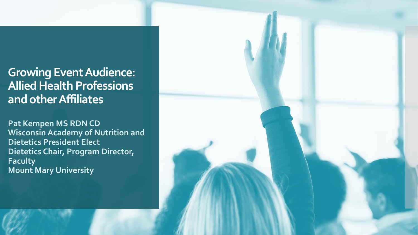## **Growing Event Audience: Allied Health Professions and other Affiliates**

**Pat Kempen MS RDN CD Wisconsin Academy of Nutrition and Dietetics President Elect Dietetics Chair, Program Director, Faculty Mount Mary University**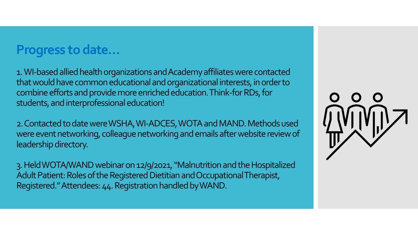## **Progress to date…**

1.WI-based allied health organizations and Academy affiliates were contacted that would have common educational and organizational interests, in order to combine efforts and provide more enriched education. Think-for RDs, for students, and interprofessional education!

2. Contacted to date were WSHA, WI-ADCES, WOTA and MAND. Methods used were event networking, colleague networking and emails after website review of leadership directory.

3. Held WOTA/WAND webinar on 12/9/2021, "Malnutrition and the Hospitalized Adult Patient: Roles of the Registered Dietitian and Occupational Therapist, Registered." Attendees: 44. Registration handled by WAND.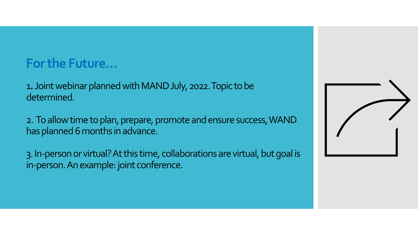## **For the Future…**

1**.** Joint webinar planned with MAND July, 2022. Topic to be determined.

2. To allow time to plan, prepare, promote and ensure success, WAND has planned 6 months in advance.

3. In-person or virtual? At this time, collaborations are virtual, but goal is in-person. An example: joint conference.